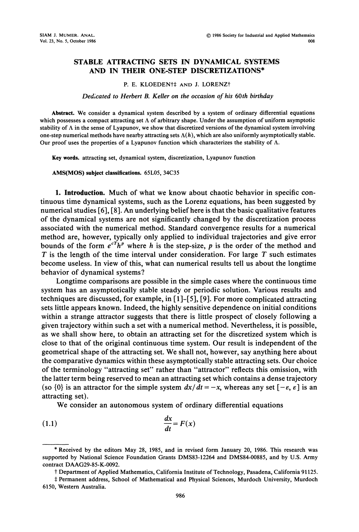## STABLE ATTRACTING SETS IN DYNAMICAL SYSTEMS AND IN THEIR ONE-STEP DISCRETIZATIONS\*

## P. E. KLOEDEN<sup>+</sup># AND J. LORENZ<sup>†</sup>

## Dedicated to Herbert B. Keller on the occasion of his 60th birthday

Abstract. We consider <sup>a</sup> dynamical system described by <sup>a</sup> system of ordinary differential equations which possesses a compact attracting set  $\Lambda$  of arbitrary shape. Under the assumption of uniform asymptotic stability of  $\Lambda$  in the sense of Lyapunov, we show that discretized versions of the dynamical system involving one-step numerical methods have nearby attracting sets  $\Lambda(h)$ , which are also uniformly asymptotically stable. Our proof uses the properties of a Lyapunov function which characterizes the stability of  $\Lambda$ .

Key words, attracting set, dynamical system, discretization, Lyapunov function

AMS(MOS) subject classifications. 65L05, 34C35

1. Introduction. Much of what we know about chaotic behavior in specific continuous time dynamical systems, such as the Lorenz equations, has been suggested by numerical studies [6], [8]. An underlying belief here is that the basic qualitative features of the dynamical systems are not significantly changed by the discretization process associated with the numerical method. Standard convergence results for a numerical method are, however, typically only applied to individual trajectories and give error bounds of the form  $e^{cT}h^p$  where h is the step-size, p is the order of the method and  $T$  is the length of the time interval under consideration. For large  $T$  such estimates become useless. In view of this, what can numerical results tell us about the longtime behavior of dynamical systems?

Longtime comparisons are possible in the simple cases where the continuous time system has an asymptotically stable steady or periodic solution. Various results and techniques are discussed, for example, in  $[1]$ - $[5]$ ,  $[9]$ . For more complicated attracting sets little appears known. Indeed, the highly sensitive dependence on initial conditions within a strange attractor suggests that there is little prospect of closely following a given trajectory within such a set with a numerical method. Nevertheless, it is possible, as we shall show here, to obtain an attracting set for the discretized system which is close to that of the original continuous time system. Our result is independent of the geometrical shape of the attracting set. We shall not, however, say anything here about the comparative dynamics within these asymptotically stable attracting sets. Our choice of the terminology "attracting set" rather than "attractor" reflects this omission, with the latter term being reserved to mean an attracting set which contains a dense trajectory (so  $\{0\}$  is an attractor for the simple system  $dx/dt = -x$ , whereas any set  $[-\varepsilon, \varepsilon]$  is an attracting set).

We consider an autonomous system of ordinary differential equations

$$
\frac{dx}{dt} = F(x)
$$

<sup>\*</sup> Received by the editors May 28, 1985, and in revised form January 20, 1986. This research was supported by National Science Foundation Grants DMS83-12264 and DMS84-00885, and by U.S. Army contract DAAG29-85-K-0092.

t Department of Applied Mathematics, California Institute of Technology, Pasadena, California 91125.

Permanent address, School of Mathematical and Physical Sciences, Murdoch University, Murdoch 6150, Western Australia.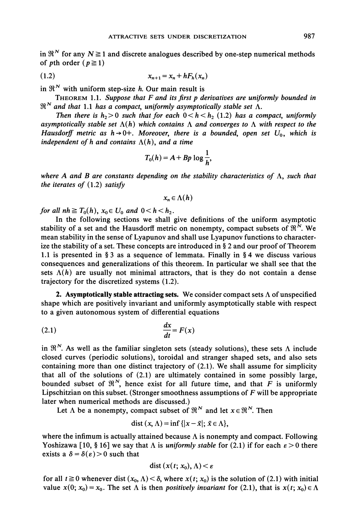in  $\mathbb{R}^N$  for any  $N \ge 1$  and discrete analogues described by one-step numerical methods of pth order  $(p \ge 1)$ 

$$
(1.2) \t\t x_{n+1} = x_n + hF_h(x_n)
$$

in  $\mathfrak{R}^N$  with uniform step-size *h*. Our main result is

THEOREM 1.1. Suppose that  $F$  and its first p derivatives are uniformly bounded in  $\mathbb{R}^N$  and that 1.1 has a compact, uniformly asymptotically stable set  $\Lambda$ .

Then there is  $h_2 > 0$  such that for each  $0 < h < h_2$  (1.2) has a compact, uniformly asymptotically stable set  $\Lambda(h)$  which contains  $\Lambda$  and converges to  $\Lambda$  with respect to the Hausdorff metric as  $h \rightarrow 0+$ . Moreover, there is a bounded, open set  $U_0$ , which is independent of h and contains  $\Lambda(h)$ , and a time

$$
T_0(h) = A + Bp \log \frac{1}{h},
$$

where A and B are constants depending on the stability characteristics of  $\Lambda$ , such that the iterates of  $(1.2)$  satisfy

$$
x_n\in\Lambda(h)
$$

for all  $nh \geq T_0(h)$ ,  $x_0 \in U_0$  and  $0 < h < h_2$ .

In the following sections we shall give definitions of the uniform asymptotic stability of a set and the Hausdorff metric on nonempty, compact subsets of  $\mathbb{R}^N$ . We mean stability in the sense of Lyapunov and shall use Lyapunov functions to characterize the stability of a set. These concepts are introduced in  $\S 2$  and our proof of Theorem 1.1 is presented in § 3 as a sequence of lemmata. Finally in § 4 we discuss various consequences and generalizations of this theorem. In particular we shall see that the sets  $\Lambda(h)$  are usually not minimal attractors, that is they do not contain a dense trajectory for the discretized systems (1.2).

2. Asymptotically stable attracting sets. We consider compact sets  $\Lambda$  of unspecified shape which are positively invariant and uniformly asymptotically stable with respect to a given autonomous system of differential equations

$$
\frac{dx}{dt} = F(x)
$$

in  $\mathfrak{R}^N$ . As well as the familiar singleton sets (steady solutions), these sets  $\Lambda$  include closed curves (periodic solutions), toroidal and stranger shaped sets, and also sets containing more than one distinct trajectory of (2.1). We shall assume for simplicity that all of the solutions of (2.1) are ultimately contained in some possibly large, bounded subset of  $\mathfrak{R}^N$ , hence exist for all future time, and that F is uniformly Lipschitzian on this subset. (Stronger smoothness assumptions of  $F$  will be appropriate later when numerical methods are discussed.)

Let  $\Lambda$  be a nonempty, compact subset of  $\mathbb{R}^N$  and let  $x \in \mathbb{R}^N$ . Then

$$
dist(x, \Lambda) = inf\{|x - \bar{x}|; \, \bar{x} \in \Lambda\},\
$$

where the infimum is actually attained because  $\Lambda$  is nonempty and compact. Following Yoshizawa [10, § 16] we say that  $\Lambda$  is *uniformly stable* for (2.1) if for each  $\varepsilon > 0$  there exists a  $\delta = \delta(\epsilon) > 0$  such that

$$
dist(x(t; x_0), \Lambda) < \varepsilon
$$

for all  $t \ge 0$  whenever dist  $(x_0, \Lambda) < \delta$ , where  $x(t; x_0)$  is the solution of (2.1) with initial value  $x(0; x_0) = x_0$ . The set  $\Lambda$  is then positively invariant for (2.1), that is  $x(t; x_0) \in \Lambda$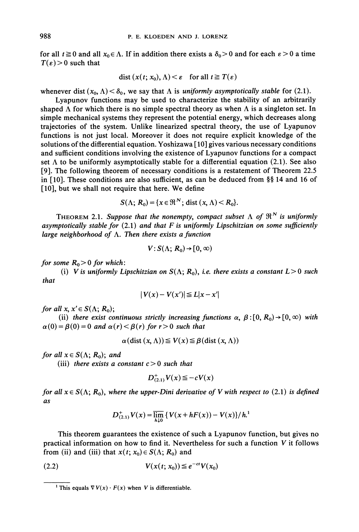for all  $t \ge 0$  and all  $x_0 \in \Lambda$ . If in addition there exists a  $\delta_0 > 0$  and for each  $\varepsilon > 0$  a time  $T(\varepsilon) > 0$  such that

$$
\text{dist}\left(x(t; x_0), \Lambda\right) < \varepsilon \quad \text{for all } t \geq T(\varepsilon)
$$

whenever dist  $(x_0, \Lambda) < \delta_0$ , we say that  $\Lambda$  is *uniformly asymptotically stable* for (2.1).

Lyapunov functions may be used to characterize the stability of an arbitrarily shaped  $\Lambda$  for which there is no simple spectral theory as when  $\Lambda$  is a singleton set. In simple mechanical systems they represent the potential energy, which decreases along trajectories of the system. Unlike linearized spectral theory, the use of Lyapunov functions is not just local. Moreover it does not require explicit knowledge of the solutions of the differential equation. Yoshizawa  $[10]$  gives various necessary conditions and sufficient conditions involving the existence of Lyapunov functions for a compact set  $\Lambda$  to be uniformly asymptotically stable for a differential equation (2.1). See also [9]. The following theorem of necessary conditions is a restatement of Theorem 22.5 in [10]. These conditions are also sufficient, as can be deduced from  $\S$  14 and 16 of [10], but we shall not require that here. We define

$$
S(\Lambda; R_0) = \{x \in \mathfrak{R}^N; \text{ dist } (x, \Lambda) < R_0\}.
$$

THEOREM 2.1. Suppose that the nonempty, compact subset  $\Lambda$  of  $\mathfrak{R}^N$  is uniformly asymptotically stable for  $(2.1)$  and that F is uniformly Lipschitzian on some sufficiently large neighborhood of  $\Lambda$ . Then there exists a function

$$
V: S(\Lambda; R_0) \to [0, \infty)
$$

for some  $R_0 > 0$  for which:

(i) V is uniformly Lipschitzian on  $S(\Lambda; R_0)$ , i.e. there exists a constant  $L>0$  such that

$$
|V(x) - V(x')| \le L|x - x'|
$$

for all  $x, x' \in S(\Lambda; R_0);$ 

(ii) there exist continuous strictly increasing functions  $\alpha$ ,  $\beta$  : [0, R<sub>0</sub>)  $\rightarrow$  [0,  $\infty$ ) with  $\alpha(0) = \beta(0) = 0$  and  $\alpha(r) < \beta(r)$  for  $r > 0$  such that

$$
\alpha(\text{dist}(x, \Lambda)) \le V(x) \le \beta(\text{dist}(x, \Lambda))
$$

for all  $x \in S(\Lambda; R_0)$ ; and

(iii) there exists a constant  $c > 0$  such that

$$
D^+_{(2,1)}V(x)\leq -cV(x)
$$

for all  $x \in S(\Lambda; R_0)$ , where the upper-Dini derivative of V with respect to (2.1) is defined as

$$
D^+_{(2,1)}V(x) = \overline{\lim_{h\downarrow 0}} \{ V(x+hF(x)) - V(x) \} / h^{1}
$$

This theorem guarantees the existence of such a Lyapunov function, but gives no practical information on how to find it. Nevertheless for such a function  $V$  it follows from (ii) and (iii) that  $x(t; x_0) \in S(\Lambda; R_0)$  and

$$
(2.2) \t\t\t V(x(t; x_0)) \leq e^{-ct} V(x_0)
$$

<sup>&</sup>lt;sup>1</sup> This equals  $\nabla V(x) \cdot F(x)$  when V is differentiable.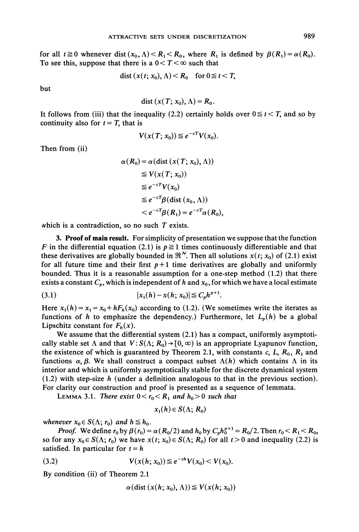for all  $t \ge 0$  whenever dist  $(x_0, \Lambda) < R_1 < R_0$ , where  $R_1$  is defined by  $\beta(R_1) = \alpha(R_0)$ . To see this, suppose that there is a  $0 < T < \infty$  such that

$$
dist(x(t; x_0), \Lambda) < R_0 \quad \text{for } 0 \leq t < T,
$$

but

$$
dist(x(T; x_0), \Lambda) = R_0.
$$

It follows from (iii) that the inequality (2.2) certainly holds over  $0 \le t < T$ , and so by continuity also for  $t = T$ , that is

$$
V(x(T; x_0)) \leq e^{-cT} V(x_0).
$$

Then from (ii)

$$
\alpha(R_0) = \alpha(\text{dist}(x(T; x_0), \Lambda))
$$
  
\n
$$
\leq V(x(T; x_0))
$$
  
\n
$$
\leq e^{-cT}V(x_0)
$$
  
\n
$$
\leq e^{-cT}\beta(\text{dist}(x_0, \Lambda))
$$
  
\n
$$
< e^{-cT}\beta(R_1) = e^{-cT}\alpha(R_0),
$$

which is a contradiction, so no such  $T$  exists.

3. Proof of main result. For simplicity of presentation we suppose that the function F in the differential equation (2.1) is  $p \ge 1$  times continuously differentiable and that these derivatives are globally bounded in  $\mathfrak{R}^N$ . Then all solutions  $x(t; x_0)$  of (2.1) exist for all future time and their first  $p+1$  time derivatives are globally and uniformly bounded. Thus it is a reasonable assumption for a one-step method (1.2) that there exists a constant  $C_p$ , which is independent of h and  $x_0$ , for which we have a local estimate

$$
(3.1) \t\t\t |x_1(h) - x(h; x_0)| \leq C_p h^{p+1}.
$$

Here  $x_1(h) = x_1 = x_0 + hF_h(x_0)$  according to (1.2). (We sometimes write the iterates as functions of h to emphasize the dependency.) Furthermore, let  $L_p(h)$  be a global Lipschitz constant for  $F_h(x)$ .

We assume that the differential system  $(2.1)$  has a compact, uniformly asymptotically stable set  $\Lambda$  and that  $V: S(\Lambda; R_0) \to [0, \infty)$  is an appropriate Lyapunov function, the existence of which is guaranteed by Theorem 2.1, with constants  $c, L, R_0, R_1$  and functions  $\alpha, \beta$ . We shall construct a compact subset  $\Lambda(h)$  which contains  $\Lambda$  in its interior and which is uniformly asymptotically stable for the discrete dynamical system  $(1.2)$  with step-size h (under a definition analogous to that in the previous section). For clarity our construction and proof is presented as a sequence of lemmata.

LEMMA 3.1. There exist  $0 < r_0 < R_1$  and  $h_0 > 0$  such that

$$
x_1(h) \in S(\Lambda; R_0)
$$

whenever  $x_0 \in S(\Lambda; r_0)$  and  $h \leq h_0$ .

*Proof.* We define  $r_0$  by  $\beta(r_0) = \alpha(R_0/2)$  and  $h_0$  by  $C_p h_0^{p+1} = R_0/2$ . Then  $r_0 < R_1 < R_0$ , so for any  $x_0 \in S(\Lambda; r_0)$  we have  $x(t; x_0) \in S(\Lambda; R_0)$  for all  $t > 0$  and inequality (2.2) is satisfied. In particular for  $t = h$ 

(3.2) 
$$
V(x(h; x_0)) \leq e^{-ch} V(x_0) < V(x_0).
$$

By condition (ii) of Theorem 2.1

$$
\alpha(\text{dist}(x(h; x_0), \Lambda)) \leq V(x(h; x_0))
$$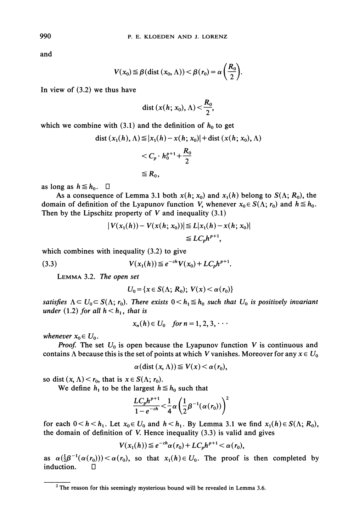and

$$
V(x_0) \leq \beta \left( \text{dist} \left( x_0, \Lambda \right) \right) < \beta \left( r_0 \right) = \alpha \left( \frac{R_0}{2} \right).
$$

In view of (3.2) we thus have

$$
\operatorname{dist}\left(x(h; x_0), \Lambda\right) < \frac{R_0}{2},
$$

which we combine with (3.1) and the definition of  $h_0$  to get

dist 
$$
(x_1(h), \Lambda) \le |x_1(h) - x(h; x_0)| +
$$
dist  $(x(h; x_0), \Lambda)$   
 $< C_p \cdot h_0^{p+1} + \frac{R_0}{2}$   
 $\leq R_0$ ,

as long as  $h \leq h_0$ .  $\Box$ 

As a consequence of Lemma 3.1 both  $x(h; x_0)$  and  $x_1(h)$  belong to  $S(\Lambda; R_0)$ , the domain of definition of the Lyapunov function V, whenever  $x_0 \in S(\Lambda; r_0)$  and  $h \leq h_0$ . Then by the Lipschitz property of  $V$  and inequality  $(3.1)$ 

$$
|V(x_1(h)) - V(x(h; x_0))| \le L|x_1(h) - x(h; x_0)|
$$
  
\n
$$
\le LC_p h^{p+1},
$$

which combines with inequality 
$$
(3.2)
$$
 to give

(3.3) 
$$
V(x_1(h)) \leq e^{-ch} V(x_0) + LC_p h^{p+1}.
$$

LEMMA 3.2. The open set

$$
U_0 = \{x \in S(\Lambda; R_0); V(x) < \alpha(r_0)\}
$$

satisfies  $\Lambda \subset U_0 \subset S(\Lambda; r_0)$ . There exists  $0 < h_1 \leq h_0$  such that  $U_0$  is positively invariant under (1.2) for all  $h < h_1$ , that is

$$
x_n(h) \in U_0 \quad \text{for } n = 1, 2, 3, \cdots
$$

whenever  $x_0 \in U_0$ .

**Proof.** The set  $U_0$  is open because the Lyapunov function V is continuous and contains  $\Lambda$  because this is the set of points at which V vanishes. Moreover for any  $x \in U_0$ 

$$
\alpha(\text{dist}(x,\Lambda)) \leq V(x) < \alpha(r_0),
$$

so dist  $(x, \Lambda) < r_0$ , that is  $x \in S(\Lambda; r_0)$ .

We define  $h_1$  to be the largest  $h \leq h_0$  such that

$$
\frac{LC_p h^{p+1}}{1-e^{-ch}} < \frac{1}{4} \alpha \left(\frac{1}{2} \beta^{-1}(\alpha(r_0))\right)^2
$$

for each  $0 < h < h_1$ . Let  $x_0 \in U_0$  and  $h < h_1$ . By Lemma 3.1 we find  $x_1(h) \in S(\Lambda; R_0)$ , the domain of definition of V. Hence inequality (3.3) is valid and gives

$$
V(x_1(h)) \leq e^{-ch}\alpha(r_0) + LC_p h^{p+1} < \alpha(r_0),
$$

as  $\alpha(\frac{1}{2}\beta^{-1}(\alpha(r_0))) < \alpha(r_0)$ , so that  $x_1(h) \in U_0$ . The proof is then completed by induction.  $\Box$ 

 $2$  The reason for this seemingly mysterious bound will be revealed in Lemma 3.6.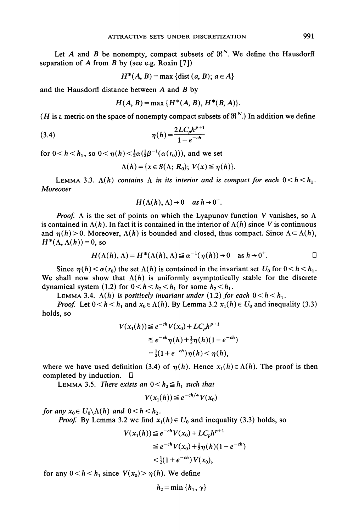Let A and B be nonempty, compact subsets of  $\mathbb{R}^N$ . We define the Hausdorff separation of  $A$  from  $B$  by (see e.g. Roxin [7])

$$
H^*(A, B) = \max \{ \text{dist} (a, B); a \in A \}
$$

and the Hausdorff distance between  $A$  and  $B$  by

 $H(A, B) = \max \{H^*(A, B), H^*(B, A)\}.$ 

(*H* is a metric on the space of nonempty compact subsets of  $\mathfrak{R}^N$ .) In addition we define

(3.4) 
$$
\eta(h) = \frac{2LC_p h^{p+1}}{1 - e^{-ch}}
$$

for  $0 < h < h_1$ , so  $0 < \eta(h) < \frac{1}{2}\alpha(\frac{1}{2}\beta^{-1}(\alpha(r_0))),$  and we set

$$
\Lambda(h) = \{x \in S(\Lambda; R_0); V(x) \leq \eta(h)\}.
$$

LEMMA 3.3.  $\Lambda(h)$  contains  $\Lambda$  in its interior and is compact for each  $0 < h < h_1$ . **Moreover** 

$$
H(\Lambda(h),\Lambda)\to 0 \quad \text{as } h\to 0^+.
$$

**Proof.**  $\Lambda$  is the set of points on which the Lyapunov function V vanishes, so  $\Lambda$ is contained in  $\Lambda(h)$ . In fact it is contained in the interior of  $\Lambda(h)$  since V is continuous and  $\eta(h) > 0$ . Moreover,  $\Lambda(h)$  is bounded and closed, thus compact. Since  $\Lambda \subset \Lambda(h)$ ,  $H^*(\Lambda, \Lambda(h)) = 0$ , so

$$
H(\Lambda(h), \Lambda) = H^*(\Lambda(h), \Lambda) \leq \alpha^{-1}(\eta(h)) \to 0 \quad \text{as } h \to 0^+.
$$

Since  $\eta(h) < \alpha(r_0)$  the set  $\Lambda(h)$  is contained in the invariant set  $U_0$  for  $0 < h < h_1$ . We shall now show that  $\Lambda(h)$  is uniformly asymptotically stable for the discrete dynamical system (1.2) for  $0 < h < h_2 < h_1$  for some  $h_2 < h_1$ .

LEMMA 3.4.  $\Lambda(h)$  is positively invariant under (1.2) for each  $0 < h < h_1$ .

*Proof.* Let  $0 < h < h_1$  and  $x_0 \in \Lambda(h)$ . By Lemma 3.2  $x_1(h) \in U_0$  and inequality (3.3) holds, so

$$
V(x_1(h)) \leq e^{-ch} V(x_0) + LC_p h^{p+1}
$$
  
\n
$$
\leq e^{-ch} \eta(h) + \frac{1}{2} \eta(h) (1 - e^{-ch})
$$
  
\n
$$
= \frac{1}{2} (1 + e^{-ch}) \eta(h) < \eta(h),
$$

where we have used definition (3.4) of  $\eta(h)$ . Hence  $x_1(h) \in \Lambda(h)$ . The proof is then completed by induction.  $\Box$ 

LEMMA 3.5. There exists an  $0 < h_2 \leq h_1$  such that

$$
V(x_1(h)) \leq e^{-ch/4} V(x_0)
$$

for any  $x_0 \in U_0 \backslash \Lambda(h)$  and  $0 < h < h_2$ .

*Proof.* By Lemma 3.2 we find  $x_1(h) \in U_0$  and inequality (3.3) holds, so

$$
V(x_1(h)) \le e^{-ch} V(x_0) + LC_p h^{p+1}
$$
  
\n
$$
\le e^{-ch} V(x_0) + \frac{1}{2} \eta(h) (1 - e^{-ch})
$$
  
\n
$$
< \frac{1}{2} (1 + e^{-ch}) V(x_0),
$$

for any  $0 < h < h_1$  since  $V(x_0) > \eta(h)$ . We define

$$
h_2 = \min\{h_1, \gamma\}
$$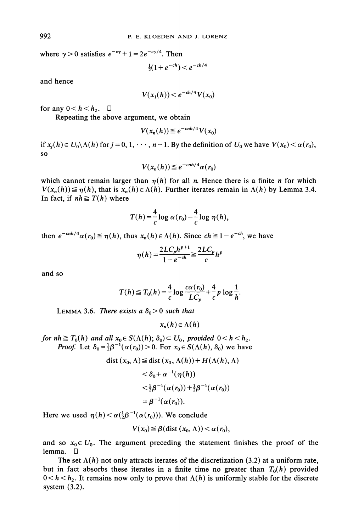where  $\gamma > 0$  satisfies  $e^{-c\gamma} + 1 = 2e^{-c\gamma/4}$ . Then

$$
\frac{1}{2}(1+e^{-ch}) < e^{-ch/4}
$$

and hence

$$
V(x_1(h)) < e^{-ch/4} V(x_0)
$$

for any  $0 < h < h_2$ .  $\Box$ 

Repeating the above argument, we obtain

$$
V(x_n(h)) \leq e^{-cnh/4} V(x_0)
$$

if  $x_i(h) \in U_0 \setminus \Lambda(h)$  for  $j = 0, 1, \dots, n-1$ . By the definition of  $U_0$  we have  $V(x_0) < \alpha(r_0)$ , SO

$$
V(x_n(h)) \leq e^{-cnh/4} \alpha(r_0)
$$

which cannot remain larger than  $\eta(h)$  for all n. Hence there is a finite n for which  $V(x_n(h)) \leq \eta(h)$ , that is  $x_n(h) \in \Lambda(h)$ . Further iterates remain in  $\Lambda(h)$  by Lemma 3.4. In fact, if  $nh \geq T(h)$  where

$$
T(h) = \frac{4}{c} \log \alpha(r_0) - \frac{4}{c} \log \eta(h),
$$

then  $e^{-cnh/4}\alpha(r_0) \leq \eta(h)$ , thus  $x_n(h) \in \Lambda(h)$ . Since  $ch \geq 1-e^{-ch}$ , we have

$$
\eta(h) = \frac{2LC_p h^{p+1}}{1 - e^{-ch}} \geq \frac{2LC_p}{c} h^p
$$

and so

$$
T(h) \leq T_0(h) = \frac{4}{c} \log \frac{c\alpha(r_0)}{LC_p} + \frac{4}{c} p \log \frac{1}{h}.
$$

LEMMA 3.6. There exists a  $\delta_0 > 0$  such that

 $x_n(h) \in \Lambda(h)$ 

for  $nh \geq T_0(h)$  and all  $x_0 \in S(\Lambda(h); \delta_0) \subset U_0$ , provided  $0 < h < h_2$ . *Proof.* Let  $\delta_0 = \frac{1}{2}\beta^{-1}(\alpha(r_0)) > 0$ . For  $x_0 \in S(\Lambda(h), \delta_0)$  we have

dist 
$$
(x_0, \Lambda) \leq
$$
 dist  $(x_0, \Lambda(h)) + H(\Lambda(h), \Lambda)$   
 $< \delta_0 + \alpha^{-1}(\eta(h))$   
 $< \frac{1}{2}\beta^{-1}(\alpha(r_0)) + \frac{1}{2}\beta^{-1}(\alpha(r_0))$   
 $= \beta^{-1}(\alpha(r_0)).$ 

Here we used  $\eta(h) < \alpha(\frac{1}{2}\beta^{-1}(\alpha(r_0)))$ . We conclude

$$
V(x_0) \leq \beta(\text{dist}(x_0, \Lambda)) < \alpha(r_0),
$$

and so  $x_0 \in U_0$ . The argument preceding the statement finishes the proof of the lemma.  $\Box$ 

The set  $\Lambda(h)$  not only attracts iterates of the discretization (3.2) at a uniform rate, but in fact absorbs these iterates in a finite time no greater than  $T_0(h)$  provided  $0 < h < h_2$ . It remains now only to prove that  $\Lambda(h)$  is uniformly stable for the discrete system (3.2).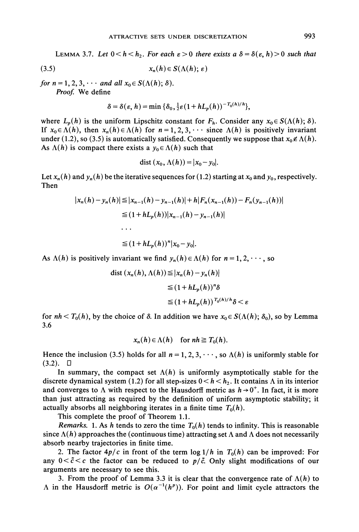LEMMA 3.7. Let  $0 < h < h_2$ . For each  $\varepsilon > 0$  there exists a  $\delta = \delta(\varepsilon, h) > 0$  such that

$$
(3.5) \t\t x_n(h) \in S(\Lambda(h); \varepsilon)
$$

for  $n = 1, 2, 3, \cdots$  and all  $x_0 \in S(\Lambda(h); \delta)$ . Proof. We define

$$
\delta = \delta(\varepsilon, h) = \min \{ \delta_0, \tfrac{1}{2} \varepsilon (1 + h L_p(h))^{-T_0(h)/h} \},
$$

where  $L_p(h)$  is the uniform Lipschitz constant for  $F_h$ . Consider any  $x_0 \in S(\Lambda(h); \delta)$ . If  $x_0 \in \Lambda(h)$ , then  $x_n(h) \in \Lambda(h)$  for  $n = 1, 2, 3, \cdots$  since  $\Lambda(h)$  is positively invariant under (1.2), so (3.5) is automatically satisfied. Consequently we suppose that  $x_0 \notin \Lambda(h)$ . As  $\Lambda(h)$  is compact there exists a  $y_0 \in \Lambda(h)$  such that

$$
dist(x_0, \Lambda(h)) = |x_0 - y_0|.
$$

Let  $x_n(h)$  and  $y_n(h)$  be the iterative sequences for (1.2) starting at  $x_0$  and  $y_0$ , respectively. Then

$$
|x_n(h) - y_n(h)| \le |x_{n-1}(h) - y_{n-1}(h)| + h|F_n(x_{n-1}(h)) - F_n(y_{n-1}(h))|
$$
  
\n
$$
\le (1 + hL_p(h))|x_{n-1}(h) - y_{n-1}(h)|
$$
  
\n...  
\n
$$
\le (1 + hL_p(h))^n |x_0 - y_0|.
$$

As  $\Lambda(h)$  is positively invariant we find  $y_n(h) \in \Lambda(h)$  for  $n = 1, 2, \dots$ , so

dist 
$$
(x_n(h), \Lambda(h)) \le |x_n(h) - y_n(h)|
$$
  
\n $\le (1 + hL_p(h))^n \delta$   
\n $\le (1 + hL_p(h))^{T_0(h)/h} \delta < \varepsilon$ 

for  $nh < T_0(h)$ , by the choice of  $\delta$ . In addition we have  $x_0 \in S(\Lambda(h); \delta_0)$ , so by Lemma 3.6

$$
x_n(h) \in \Lambda(h) \quad \text{for } nh \geq T_0(h).
$$

Hence the inclusion (3.5) holds for all  $n = 1, 2, 3, \dots$ , so  $\Lambda(h)$  is uniformly stable for  $(3.2)$ .  $\Box$ 

In summary, the compact set  $\Lambda(h)$  is uniformly asymptotically stable for the discrete dynamical system (1.2) for all step-sizes  $0 < h < h_2$ . It contains  $\Lambda$  in its interior and converges to  $\Lambda$  with respect to the Hausdorff metric as  $h \rightarrow 0^+$ . In fact, it is more than just attracting as required by the definition of uniform asymptotic stability; it actually absorbs all neighboring iterates in a finite time  $T_0(h)$ .

This complete the proof of Theorem 1.1.

Remarks. 1. As h tends to zero the time  $T_0(h)$  tends to infinity. This is reasonable since  $\Lambda(h)$  approaches the (continuous time) attracting set  $\Lambda$  and  $\Lambda$  does not necessarily absorb nearby trajectories in finite time.

2. The factor  $4p/c$  in front of the term  $\log 1/h$  in  $T_0(h)$  can be improved: For any  $0 < \tilde{c} < c$  the factor can be reduced to  $p/\tilde{c}$ . Only slight modifications of our arguments are necessary to see this.

3. From the proof of Lemma 3.3 it is clear that the convergence rate of  $\Lambda(h)$  to  $\Lambda$  in the Hausdorff metric is  $O(\alpha^{-1}(h^p))$ . For point and limit cycle attractors the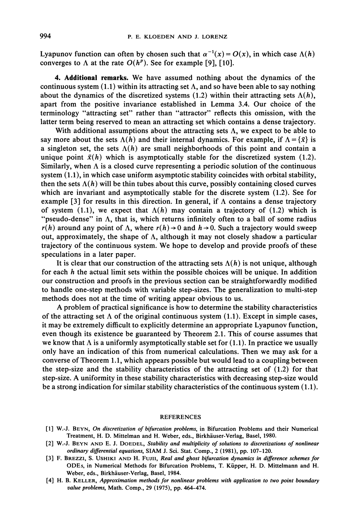Lyapunov function can often by chosen such that  $\alpha^{-1}(x) = O(x)$ , in which case  $\Lambda(h)$ converges to  $\Lambda$  at the rate  $O(h^p)$ . See for example [9], [10].

4. Additional remarks. We have assumed nothing about the dynamics of the continuous system  $(1.1)$  within its attracting set  $\Lambda$ , and so have been able to say nothing about the dynamics of the discretized systems (1.2) within their attracting sets  $\Lambda(h)$ , apart from the positive invariance established in Lemma 3.4. Our choice of the terminology "attracting set" rather than "attractor" reflects this omission, with the latter term being reserved to mean an attracting set which contains a dense trajectory.

With additional assumptions about the attracting sets  $\Lambda$ , we expect to be able to say more about the sets  $\Lambda(h)$  and their internal dynamics. For example, if  $\Lambda = {\bar{x}}$  is a singleton set, the sets  $\Lambda(h)$  are small neighborhoods of this point and contain a unique point  $\bar{x}(h)$  which is asymptotically stable for the discretized system (1.2). Similarly, when  $\Lambda$  is a closed curve representing a periodic solution of the continuous system (1.1), in which case uniform asymptotic stability coincides with orbital stability, then the sets  $\Lambda(h)$  will be thin tubes about this curve, possibly containing closed curves which are invariant and asymptotically stable for the discrete system (1.2). See for example [3] for results in this direction. In general, if  $\Lambda$  contains a dense trajectory of system (1.1), we expect that  $\Lambda(h)$  may contain a trajectory of (1.2) which is "pseudo-dense" in  $\Lambda$ , that is, which returns infinitely often to a ball of some radius  $r(h)$  around any point of  $\Lambda$ , where  $r(h) \rightarrow 0$  and  $h \rightarrow 0$ . Such a trajectory would sweep out, approximately, the shape of  $\Lambda$ , although it may not closely shadow a particular trajectory of the continuous system. We hope to develop and provide proofs of these speculations in a later paper.

It is clear that our construction of the attracting sets  $\Lambda(h)$  is not unique, although for each  $h$  the actual limit sets within the possible choices will be unique. In addition our construction and proofs in the previous section can be straightforwardly modified to handle one-step methods with variable step-sizes. The generalization to multi-step methods does not at the time of writing appear obvious to us.

A problem of practical significance is how to determine the stability characteristics of the attracting set  $\Lambda$  of the original continuous system (1.1). Except in simple cases, it may be extremely difficult to explicitly determine an appropriate Lyapunov function, even though its existence be guaranteed by Theorem 2.1. This of course assumes that we know that  $\Lambda$  is a uniformly asymptotically stable set for (1.1). In practice we usually only have an indication of this from numerical calculations. Then we may ask for a converse of Theorem 1.1, which appears possible but would lead to a coupling between the step-size and the stability characteristics of the attracting set of (1.2) for that step-size. A uniformity in these stability characteristics with decreasing step-size would be a strong indication for similar stability characteristics of the continuous system (1.1).

## REFERENCES

- [1] W.-J. BEYN, On discretization of bifurcation problems, in Bifurcation Problems and their Numerical Treatment, H. D. Mittelman and H. Weber, eds., Birkhäuser-Verlag, Basel, 1980.
- [2] W.-J. BEYN AND E. J. DOEDEL, Stability and multiplicity of solutions to discretizations of nonlinear ordinary differential equations, SIAM J. Sci. Stat. Comp., <sup>2</sup> (1981), pp. 107-120.
- [3] F. BREZZI, S. USHIKI AND H. FuJII, Real and ghost bifurcation dynamics in difference schemes for ODEs, in Numerical Methods for Bifurcation Problems, T. Kiipper, H. D. Mittelmann and H. Weber, eds., Birkhäuser-Verlag, Basel, 1984.
- [4] H. B. KELLER, Approximation methods for nonlinear problems with application to two point boundary value problems, Math. Comp., 29 (1975), pp. 464-474.